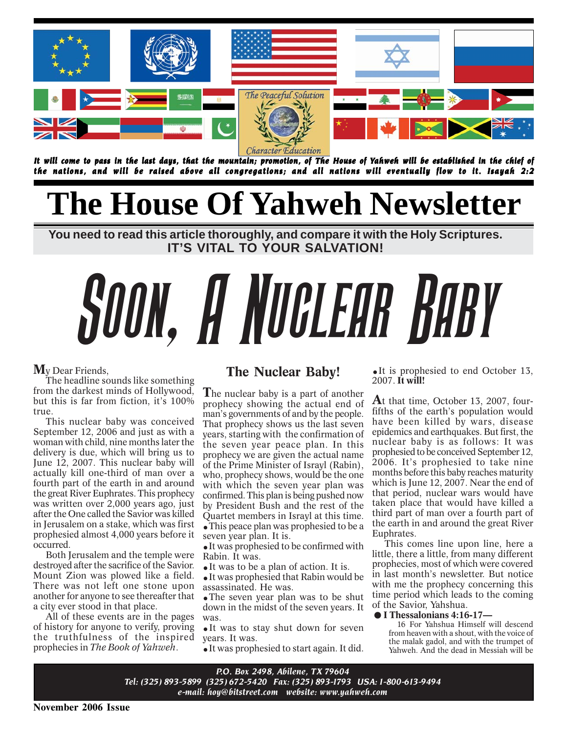

*It will come to pass in the last days, that the mountain; promotion, of The House of Yahweh will be established in the chief of ahweh will established in of the nations, and will be raised above all congregations; and all nations will eventually flow to it. Isayah 2:2*

# **The House Of Yahweh Newsletter**

**You need to read this article thoroughly, and compare it with the Holy Scriptures. IT'S VITAL TO YOUR SALVATION!**

# Soon, A Nuclear Baby

### **M**y Dear Friends,

The headline sounds like something from the darkest minds of Hollywood, but this is far from fiction, it's 100% true.

This nuclear baby was conceived September 12, 2006 and just as with a woman with child, nine months later the delivery is due, which will bring us to June 12, 2007. This nuclear baby will actually kill one-third of man over a fourth part of the earth in and around the great River Euphrates. This prophecy was written over 2,000 years ago, just after the One called the Savior was killed in Jerusalem on a stake, which was first prophesied almost 4,000 years before it occurred.

Both Jerusalem and the temple were destroyed after the sacrifice of the Savior. Mount Zion was plowed like a field. There was not left one stone upon another for anyone to see thereafter that a city ever stood in that place.

All of these events are in the pages of history for anyone to verify, proving the truthfulness of the inspired prophecies in *The Book of Yahweh*.

### **The Nuclear Baby!**

**T**he nuclear baby is a part of another prophecy showing the actual end of man's governments of and by the people. That prophecy shows us the last seven years, starting with the confirmation of the seven year peace plan. In this prophecy we are given the actual name of the Prime Minister of Israyl (Rabin), who, prophecy shows, would be the one with which the seven year plan was confirmed. This plan is being pushed now by President Bush and the rest of the Quartet members in Israyl at this time. **.**This peace plan was prophesied to be a seven year plan. It is.

**.**It was prophesied to be confirmed with Rabin. It was.

**.**It was to be a plan of action. It is.

**.**It was prophesied that Rabin would be assassinated. He was.

**.**The seven year plan was to be shut down in the midst of the seven years. It was.

**.**It was to stay shut down for seven years. It was.

**.**It was prophesied to start again. It did.

**.**It is prophesied to end October 13, 2007. **It will!**

**A**t that time, October 13, 2007, fourfifths of the earth's population would have been killed by wars, disease epidemics and earthquakes. But first, the nuclear baby is as follows: It was prophesied to be conceived September 12, 2006. It's prophesied to take nine months before this baby reaches maturity which is June 12, 2007. Near the end of that period, nuclear wars would have taken place that would have killed a third part of man over a fourth part of the earth in and around the great River Euphrates.

This comes line upon line, here a little, there a little, from many different prophecies, most of which were covered in last month's newsletter. But notice with me the prophecy concerning this **The France of Science Concerning that**<br> **i** time period which leads to the coming<br> **.** ■ **I Thessalonians 4:16-17—**<br>
16 For Yabshua Himself will descend of the Savior, Yahshua.

16 For Yahshua Himself will descend from heaven with a shout, with the voice of the malak gadol, and with the trumpet of Yahweh. And the dead in Messiah will be

*P.O. Box 2498, Abilene, TX 79604 Tel: (325) 893-5899 (325) 672-5420 Fax: (325) 893-1793 USA: 1-800-613-9494 e-mail: hoy@bitstreet.com website: www.yahweh.com*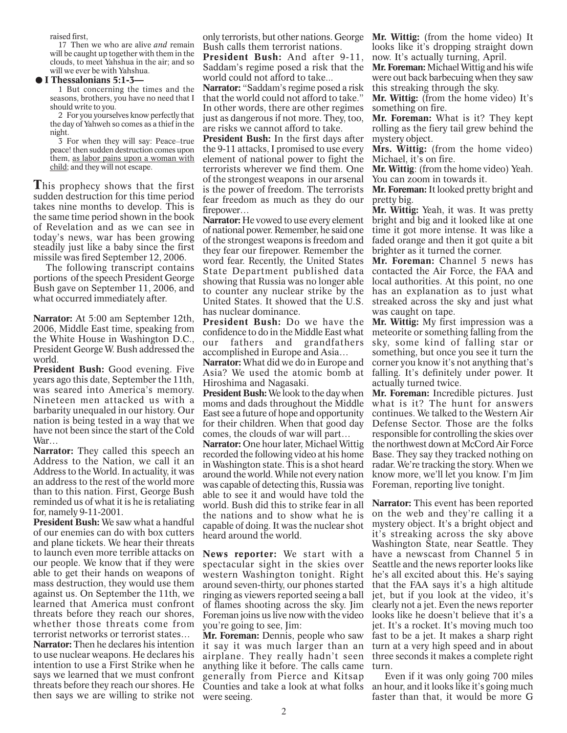raised first,

17 Then we who are alive *and* remain will be caught up together with them in the clouds, to meet Yahshua in the air; and so will we ever be with Yahshua.

### **.I Thessalonians 5:1-3—**

1 But concerning the times and the seasons, brothers, you have no need that I should write to you.

2 For you yourselves know perfectly that the day of Yahweh so comes as a thief in the night.

3 For when they will say: Peace-true peace! then sudden destruction comes upon them, as labor pains upon a woman with child; and they will not escape.

**T**his prophecy shows that the first sudden destruction for this time period takes nine months to develop. This is the same time period shown in the book of Revelation and as we can see in today's news, war has been growing steadily just like a baby since the first missile was fired September 12, 2006.

The following transcript contains portions of the speech President George Bush gave on September 11, 2006, and what occurred immediately after.

**Narrator:** At 5:00 am September 12th, 2006, Middle East time, speaking from the White House in Washington D.C., President George W. Bush addressed the world.

**President Bush:** Good evening. Five years ago this date, September the 11th, was seared into America's memory. Nineteen men attacked us with a barbarity unequaled in our history. Our nation is being tested in a way that we have not been since the start of the Cold War…

**Narrator:** They called this speech an Address to the Nation, we call it an Address to the World. In actuality, it was an address to the rest of the world more than to this nation. First, George Bush reminded us of what it is he is retaliating for, namely 9-11-2001.

**President Bush:** We saw what a handful of our enemies can do with box cutters and plane tickets. We hear their threats to launch even more terrible attacks on our people. We know that if they were able to get their hands on weapons of mass destruction, they would use them against us. On September the 11th, we learned that America must confront threats before they reach our shores, whether those threats come from terrorist networks or terrorist states…

**Narrator:** Then he declares his intention to use nuclear weapons. He declares his intention to use a First Strike when he says we learned that we must confront threats before they reach our shores. He then says we are willing to strike not were seeing.

only terrorists, but other nations. George Bush calls them terrorist nations.

**President Bush:** And after 9-11, Saddam's regime posed a risk that the world could not afford to take...

**Narrator:** "Saddam's regime posed a risk that the world could not afford to take." In other words, there are other regimes just as dangerous if not more. They, too, are risks we cannot afford to take.

**President Bush:** In the first days after the 9-11 attacks, I promised to use every element of national power to fight the terrorists wherever we find them. One of the strongest weapons in our arsenal is the power of freedom. The terrorists fear freedom as much as they do our firepower…

**Narrator:** He vowed to use every element of national power. Remember, he said one of the strongest weapons is freedom and they fear our firepower. Remember the word fear. Recently, the United States State Department published data showing that Russia was no longer able to counter any nuclear strike by the United States. It showed that the U.S. has nuclear dominance.

**President Bush:** Do we have the confidence to do in the Middle East what our fathers and grandfathers accomplished in Europe and Asia…

**Narrator:** What did we do in Europe and Asia? We used the atomic bomb at Hiroshima and Nagasaki.

**President Bush:** We look to the day when moms and dads throughout the Middle East see a future of hope and opportunity for their children. When that good day comes, the clouds of war will part…

**Narrator:** One hour later, Michael Wittig recorded the following video at his home in Washington state. This is a shot heard around the world. While not every nation was capable of detecting this, Russia was able to see it and would have told the world. Bush did this to strike fear in all the nations and to show what he is capable of doing. It was the nuclear shot heard around the world.

**News reporter:** We start with a spectacular sight in the skies over western Washington tonight. Right around seven-thirty, our phones started ringing as viewers reported seeing a ball of flames shooting across the sky. Jim Foreman joins us live now with the video you're going to see, Jim:

**Mr. Foreman:** Dennis, people who saw it say it was much larger than an airplane. They really hadn't seen anything like it before. The calls came turn. generally from Pierce and Kitsap Counties and take a look at what folks

**Mr. Wittig:** (from the home video) It looks like it's dropping straight down now. It's actually turning, April.

**Mr. Foreman:** Michael Wittig and his wife were out back barbecuing when they saw this streaking through the sky.

**Mr. Wittig:** (from the home video) It's something on fire.

**Mr. Foreman:** What is it? They kept rolling as the fiery tail grew behind the mystery object.

**Mrs. Wittig:** (from the home video) Michael, it's on fire.

**Mr. Wittig**: (from the home video) Yeah. You can zoom in towards it.

**Mr. Foreman:** It looked pretty bright and pretty big.

**Mr. Wittig:** Yeah, it was. It was pretty bright and big and it looked like at one time it got more intense. It was like a faded orange and then it got quite a bit brighter as it turned the corner.

**Mr. Foreman:** Channel 5 news has contacted the Air Force, the FAA and local authorities. At this point, no one has an explanation as to just what streaked across the sky and just what was caught on tape.

**Mr. Wittig:** My first impression was a meteorite or something falling from the sky, some kind of falling star or something, but once you see it turn the corner you know it's not anything that's falling. It's definitely under power. It actually turned twice.

**Mr. Foreman:** Incredible pictures. Just what is it? The hunt for answers continues. We talked to the Western Air Defense Sector. Those are the folks responsible for controlling the skies over the northwest down at McCord Air Force Base. They say they tracked nothing on radar. We're tracking the story. When we know more, we'll let you know. I'm Jim Foreman, reporting live tonight.

**Narrator:** This event has been reported on the web and they're calling it a mystery object. It's a bright object and it's streaking across the sky above Washington State, near Seattle. They have a newscast from Channel 5 in Seattle and the news reporter looks like he's all excited about this. He's saying that the FAA says it's a high altitude jet, but if you look at the video, it's clearly not a jet. Even the news reporter looks like he doesn't believe that it's a jet. It's a rocket. It's moving much too fast to be a jet. It makes a sharp right turn at a very high speed and in about three seconds it makes a complete right

Even if it was only going 700 miles an hour, and it looks like it's going much faster than that, it would be more G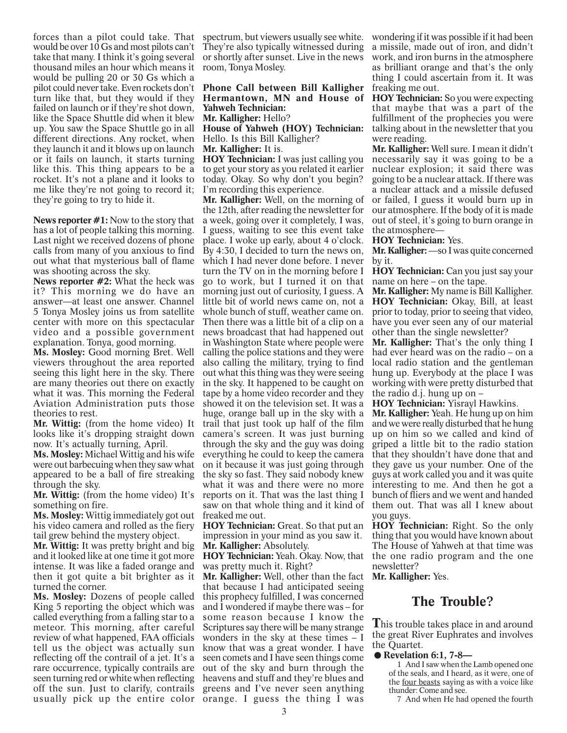forces than a pilot could take. That would be over 10 Gs and most pilots can't take that many. I think it's going several thousand miles an hour which means it would be pulling 20 or 30 Gs which a pilot could never take. Even rockets don't turn like that, but they would if they failed on launch or if they're shot down, like the Space Shuttle did when it blew up. You saw the Space Shuttle go in all different directions. Any rocket, when they launch it and it blows up on launch or it fails on launch, it starts turning like this. This thing appears to be a rocket. It's not a plane and it looks to me like they're not going to record it; they're going to try to hide it.

**News reporter #1:** Now to the story that has a lot of people talking this morning. Last night we received dozens of phone calls from many of you anxious to find out what that mysterious ball of flame was shooting across the sky.

**News reporter #2:** What the heck was it? This morning we do have an answer—at least one answer. Channel 5 Tonya Mosley joins us from satellite center with more on this spectacular video and a possible government explanation. Tonya, good morning.

**Ms. Mosley:** Good morning Bret. Well viewers throughout the area reported seeing this light here in the sky. There are many theories out there on exactly what it was. This morning the Federal Aviation Administration puts those theories to rest.

**Mr. Wittig:** (from the home video) It looks like it's dropping straight down now. It's actually turning, April.

**Ms. Mosley:** Michael Wittig and his wife were out barbecuing when they saw what appeared to be a ball of fire streaking through the sky.

**Mr. Wittig:** (from the home video) It's something on fire.

**Ms. Mosley:** Wittig immediately got out his video camera and rolled as the fiery tail grew behind the mystery object.

**Mr. Wittig:** It was pretty bright and big and it looked like at one time it got more intense. It was like a faded orange and then it got quite a bit brighter as it turned the corner.

**Ms. Mosley:** Dozens of people called King 5 reporting the object which was called everything from a falling star to a meteor. This morning, after careful review of what happened, FAA officials tell us the object was actually sun reflecting off the contrail of a jet. It's a rare occurrence, typically contrails are seen turning red or white when reflecting off the sun. Just to clarify, contrails usually pick up the entire color orange. I guess the thing I was

spectrum, but viewers usually see white. wondering if it was possible if it had been They're also typically witnessed during or shortly after sunset. Live in the news room, Tonya Mosley.

**Phone Call between Bill Kalligher Hermantown, MN and House of Yahweh Technician:**

**Mr. Kalligher:** Hello?

**House of Yahweh (HOY) Technician:** Hello. Is this Bill Kalligher? **Mr. Kalligher:** It is.

**HOY Technician:** I was just calling you to get your story as you related it earlier today. Okay. So why don't you begin? I'm recording this experience.

**Mr. Kalligher:** Well, on the morning of the 12th, after reading the newsletter for a week, going over it completely, I was, I guess, waiting to see this event take place. I woke up early, about 4 o'clock. By 4:30, I decided to turn the news on, which I had never done before. I never turn the TV on in the morning before I go to work, but I turned it on that morning just out of curiosity, I guess. A little bit of world news came on, not a whole bunch of stuff, weather came on. Then there was a little bit of a clip on a news broadcast that had happened out in Washington State where people were calling the police stations and they were also calling the military, trying to find out what this thing was they were seeing in the sky. It happened to be caught on tape by a home video recorder and they showed it on the television set. It was a huge, orange ball up in the sky with a trail that just took up half of the film camera's screen. It was just burning through the sky and the guy was doing everything he could to keep the camera on it because it was just going through the sky so fast. They said nobody knew what it was and there were no more reports on it. That was the last thing I saw on that whole thing and it kind of freaked me out.

**HOY Technician:** Great. So that put an impression in your mind as you saw it. **Mr. Kalligher:** Absolutely.

**HOY Technician:** Yeah. Okay. Now, that was pretty much it. Right?

**Mr. Kalligher:** Well, other than the fact that because I had anticipated seeing this prophecy fulfilled, I was concerned and I wondered if maybe there was – for some reason because I know the Scriptures say there will be many strange wonders in the sky at these times – I know that was a great wonder. I have seen comets and I have seen things come out of the sky and burn through the heavens and stuff and they're blues and greens and I've never seen anything

a missile, made out of iron, and didn't work, and iron burns in the atmosphere as brilliant orange and that's the only thing I could ascertain from it. It was freaking me out.

**HOY Technician:** So you were expecting that maybe that was a part of the fulfillment of the prophecies you were talking about in the newsletter that you were reading.

**Mr. Kalligher:** Well sure. I mean it didn't necessarily say it was going to be a nuclear explosion; it said there was going to be a nuclear attack. If there was a nuclear attack and a missile defused or failed, I guess it would burn up in our atmosphere. If the body of it is made out of steel, it's going to burn orange in the atmosphere—

### **HOY Technician:** Yes.

**Mr. Kalligher:** —so I was quite concerned by it.

**HOY Technician:** Can you just say your name on here – on the tape.

**Mr. Kalligher:** My name is Bill Kalligher. **HOY Technician:** Okay, Bill, at least prior to today, prior to seeing that video, have you ever seen any of our material other than the single newsletter?

**Mr. Kalligher:** That's the only thing I had ever heard was on the radio – on a local radio station and the gentleman hung up. Everybody at the place I was working with were pretty disturbed that the radio d.j. hung up on –

**HOY Technician:** Yisrayl Hawkins.

**Mr. Kalligher:** Yeah. He hung up on him and we were really disturbed that he hung up on him so we called and kind of griped a little bit to the radio station that they shouldn't have done that and they gave us your number. One of the guys at work called you and it was quite interesting to me. And then he got a bunch of fliers and we went and handed them out. That was all I knew about you guys.

**HOY Technician:** Right. So the only thing that you would have known about The House of Yahweh at that time was the one radio program and the one newsletter?

**Mr. Kalligher:** Yes.

### **The Trouble?**

**T**his trouble takes place in and around **This crount takes pace in and around**<br>the great River Euphrates and involves<br>the Quartet. ● Revelation 6:1, 7-8—<br>1. And I saw when the Lamb opened one the Quartet.

1 And I saw when the Lamb opened one of the seals, and I heard, as it were, one of the four beasts saying as with a voice like thunder: Come and see.

7 And when He had opened the fourth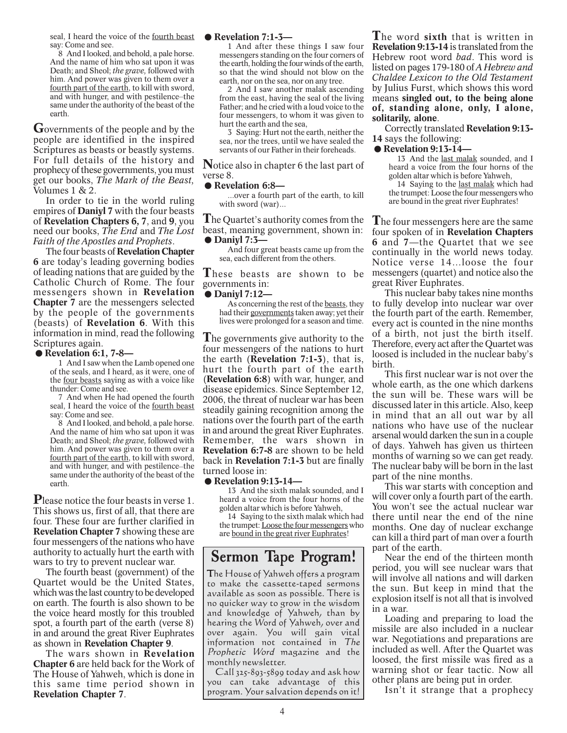seal, I heard the voice of the fourth beast say: Come and see.

8 And I looked, and behold, a pale horse. And the name of him who sat upon it was Death; and Sheol; *the grave,* followed with him. And power was given to them over a fourth part of the earth, to kill with sword, and with hunger, and with pestilence-the same under the authority of the beast of the earth.

**G**overnments of the people and by the people are identified in the inspired Scriptures as beasts or beastly systems. For full details of the history and prophecy of these governments, you must get our books, *The Mark of the Beast,* Volumes 1 & 2.

In order to tie in the world ruling empires of **Daniyl 7** with the four beasts of **Revelation Chapters 6, 7**, and **9**, you need our books, *The End* and *The Lost Faith of the Apostles and Prophets*.

The four beasts of **Revelation Chapter 6** are today's leading governing bodies of leading nations that are guided by the Catholic Church of Rome. The four messengers shown in **Revelation Chapter 7** are the messengers selected by the people of the governments (beasts) of **Revelation 6**. With this **Example 18 The Following**<br>information in mind, read the following<br>**Scriptures again.**<br>**. Revelation 6:1, 7-8—**<br>1. And I saw when the Lamb opened one Scriptures again.

1 And I saw when the Lamb opened one of the seals, and I heard, as it were, one of the four beasts saying as with a voice like thunder: Come and see.

7 And when He had opened the fourth seal, I heard the voice of the fourth beast say: Come and see.

8 And I looked, and behold, a pale horse. And the name of him who sat upon it was Death; and Sheol; *the grave,* followed with him. And power was given to them over a fourth part of the earth, to kill with sword, and with hunger, and with pestilence–the same under the authority of the beast of the earth.

**P**lease notice the four beasts in verse 1. This shows us, first of all, that there are four. These four are further clarified in **Revelation Chapter 7** showing these are four messengers of the nations who have authority to actually hurt the earth with wars to try to prevent nuclear war.

The fourth beast (government) of the Quartet would be the United States, which was the last country to be developed on earth. The fourth is also shown to be the voice heard mostly for this troubled spot, a fourth part of the earth (verse 8) in and around the great River Euphrates as shown in **Revelation Chapter 9**.

The wars shown in **Revelation Chapter 6** are held back for the Work of The House of Yahweh, which is done in this same time period shown in **Revelation Chapter 7**.

### **.Revelation 7:1-3—**

1 And after these things I saw four messengers standing on the four corners of the earth, holding the four winds of the earth, so that the wind should not blow on the earth, nor on the sea, nor on any tree.

2 And I saw another malak ascending from the east, having the seal of the living Father; and he cried with a loud voice to the four messengers, to whom it was given to hurt the earth and the sea,

3 Saying: Hurt not the earth, neither the sea, nor the trees, until we have sealed the servants of our Father in their foreheads.

**N**otice also in chapter 6 the last part of verse 8.<br>● **Revelation 6:8—**<br>over a fourth part of the earth to kill verse 8.

...over a fourth part of the earth, to kill with sword (war)...

**T**he Quartet's authority comes from the beast, meaning government, shown in: The Quartet's a<br>beast, meaning<br>**• Daniyl 7:3—**<br>And four gr

And four great beasts came up from the sea, each different from the others.

**T**hese beasts are shown to be governments in: These beasts<br>governments in:<br>● **Daniyl 7:12**—<br>As concernin

As concerning the rest of the beasts, they had their governments taken away; yet their lives were prolonged for a season and time.

**T**he governments give authority to the four messengers of the nations to hurt the earth (**Revelation 7:1-3**), that is, hurt the fourth part of the earth (**Revelation 6:8**) with war, hunger, and disease epidemics. Since September 12, 2006, the threat of nuclear war has been steadily gaining recognition among the nations over the fourth part of the earth in and around the great River Euphrates. Remember, the wars shown in **Revelation 6:7-8** are shown to be held **Exercision 6.7-6 are shown to be field**<br>back in **Revelation 7:1-3** but are finally<br>turned loose in:<br>**.**<br>**8. Revelation 9:13-14—**<br>13. And the sixth malak sounded, and I turned loose in:

13 And the sixth malak sounded, and I heard a voice from the four horns of the golden altar which is before Yahweh,

14 Saying to the sixth malak which had the trumpet: Loose the four messengers who are bound in the great river Euphrates!

### Sermon Tape Program!

The House of Yahweh offers a program to make the cassette-taped sermons available as soon as possible. There is no quicker way to grow in the wisdom and knowledge of Yahweh, than by hearing the Word of Yahweh, over and over again. You will gain vital information not contained in The Prophetic Word magazine and the monthly newsletter.

Call 325-893-5899 today and ask how you can take advantage of this program. Your salvation depends on it!

**T**he word **sixth** that is written in **Revelation 9:13-14** is translated from the Hebrew root word *bad*. This word is listed on pages 179-180 of *A Hebrew and Chaldee Lexicon to the Old Testament* by Julius Furst, which shows this word means **singled out, to the being alone of, standing alone, only, I alone, solitarily, alone**.

Correctly translated **Revelation 9:13- 14** says the following:

**.Revelation 9:13-14—**

13 And the last malak sounded, and I heard a voice from the four horns of the golden altar which is before Yahweh,

14 Saying to the last malak which had the trumpet: Loose the four messengers who are bound in the great river Euphrates!

**T**he four messengers here are the same four spoken of in **Revelation Chapters 6** and **7**—the Quartet that we see continually in the world news today. Notice verse 14…loose the four messengers (quartet) and notice also the great River Euphrates.

This nuclear baby takes nine months to fully develop into nuclear war over the fourth part of the earth. Remember, every act is counted in the nine months of a birth, not just the birth itself. Therefore, every act after the Quartet was loosed is included in the nuclear baby's birth.

This first nuclear war is not over the whole earth, as the one which darkens the sun will be. These wars will be discussed later in this article. Also, keep in mind that an all out war by all nations who have use of the nuclear arsenal would darken the sun in a couple of days. Yahweh has given us thirteen months of warning so we can get ready. The nuclear baby will be born in the last part of the nine months.

This war starts with conception and will cover only a fourth part of the earth. You won't see the actual nuclear war there until near the end of the nine months. One day of nuclear exchange can kill a third part of man over a fourth part of the earth.

Near the end of the thirteen month period, you will see nuclear wars that will involve all nations and will darken the sun. But keep in mind that the explosion itself is not all that is involved in a war.

Loading and preparing to load the missile are also included in a nuclear war. Negotiations and preparations are included as well. After the Quartet was loosed, the first missile was fired as a warning shot or fear tactic. Now all other plans are being put in order.

Isn't it strange that a prophecy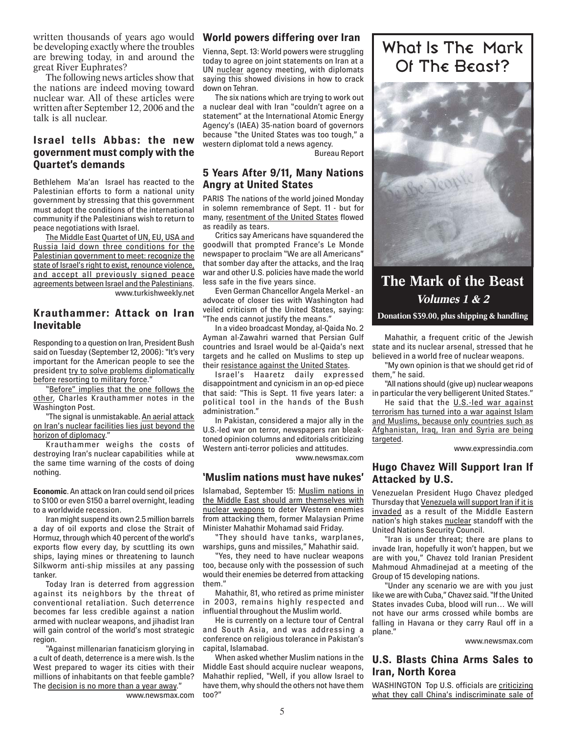written thousands of years ago would be developing exactly where the troubles are brewing today, in and around the great River Euphrates?

The following news articles show that the nations are indeed moving toward nuclear war. All of these articles were written after September 12, 2006 and the talk is all nuclear.

### **Israel tells Abbas: the new government must comply with the Quartet's demands**

Bethlehem Ma'an Israel has reacted to the Palestinian efforts to form a national unity government by stressing that this government must adopt the conditions of the international community if the Palestinians wish to return to peace negotiations with Israel.

The Middle East Quartet of UN, EU, USA and Russia laid down three conditions for the Palestinian government to meet: recognize the state of Israel's right to exist, renounce violence, and accept all previously signed peace agreements between Israel and the Palestinians. www.turkishweekly.net

### **Krauthammer: Attack on Iran Inevitable**

Responding to a question on Iran, President Bush said on Tuesday (September 12, 2006): "It's very important for the American people to see the president try to solve problems diplomatically before resorting to military force.

"Before" implies that the one follows the other, Charles Krauthammer notes in the Washington Post.

"The signal is unmistakable. An aerial attack on Iran's nuclear facilities lies just beyond the horizon of diplomacy."

Krauthammer weighs the costs of destroying Iran's nuclear capabilities while at the same time warning of the costs of doing nothing.

**Economic**. An attack on Iran could send oil prices to \$100 or even \$150 a barrel overnight, leading to a worldwide recession.

Iran might suspend its own 2.5 million barrels a day of oil exports and close the Strait of Hormuz, through which 40 percent of the world's exports flow every day, by scuttling its own ships, laying mines or threatening to launch Silkworm anti-ship missiles at any passing tanker.

Today Iran is deterred from aggression against its neighbors by the threat of conventional retaliation. Such deterrence becomes far less credible against a nation armed with nuclear weapons, and jihadist Iran will gain control of the world's most strategic region.

"Against millenarian fanaticism glorying in a cult of death, deterrence is a mere wish. Is the West prepared to wager its cities with their millions of inhabitants on that feeble gamble? The decision is no more than a year away."

www.newsmax.com

### **World powers differing over Iran**

Vienna, Sept. 13: World powers were struggling today to agree on joint statements on Iran at a UN nuclear agency meeting, with diplomats saying this showed divisions in how to crack down on Tehran.

The six nations which are trying to work out a nuclear deal with Iran "couldn't agree on a statement" at the International Atomic Energy Agency's (IAEA) 35-nation board of governors because "the United States was too tough," a western diplomat told a news agency.

Bureau Report

### **5 Years After 9/11, Many Nations Angry at United States**

PARIS The nations of the world joined Monday in solemn remembrance of Sept. 11 - but for many, resentment of the United States flowed as readily as tears.

Critics say Americans have squandered the goodwill that prompted France's Le Monde newspaper to proclaim "We are all Americans" that somber day after the attacks, and the Iraq war and other U.S. policies have made the world less safe in the five years since.

Even German Chancellor Angela Merkel - an advocate of closer ties with Washington had veiled criticism of the United States, saying: "The ends cannot justify the means."

In a video broadcast Monday, al-Qaida No. 2 Ayman al-Zawahri warned that Persian Gulf countries and Israel would be al-Qaida's next targets and he called on Muslims to step up their resistance against the United States.

Israel's Haaretz daily expressed disappointment and cynicism in an op-ed piece that said: "This is Sept. 11 five years later: a political tool in the hands of the Bush administration."

In Pakistan, considered a major ally in the U.S.-led war on terror, newspapers ran bleaktoned opinion columns and editorials criticizing Western anti-terror policies and attitudes.

www.newsmax.com

### **'Muslim nations must have nukes'**

Islamabad, September 15: Muslim nations in the Middle East should arm themselves with nuclear weapons to deter Western enemies from attacking them, former Malaysian Prime Minister Mahathir Mohamad said Friday.

"They should have tanks, warplanes, warships, guns and missiles," Mahathir said.

"Yes, they need to have nuclear weapons too, because only with the possession of such would their enemies be deterred from attacking them."

Mahathir, 81, who retired as prime minister in 2003, remains highly respected and influential throughout the Muslim world.

He is currently on a lecture tour of Central and South Asia, and was addressing a conference on religious tolerance in Pakistan's capital, Islamabad.

When asked whether Muslim nations in the Middle East should acquire nuclear weapons, Mahathir replied, "Well, if you allow Israel to have them, why should the others not have them too?"

### What Is The Mark Of The Beast?



**The Mark of the Beast Volumes 1 & 2 Donation \$39.00, plus shipping & handling**

Mahathir, a frequent critic of the Jewish state and its nuclear arsenal, stressed that he believed in a world free of nuclear weapons.

"My own opinion is that we should get rid of them," he said.

"All nations should (give up) nuclear weapons in particular the very belligerent United States."

He said that the U.S.-led war against terrorism has turned into a war against Islam and Muslims, because only countries such as Afghanistan, Iraq, Iran and Syria are being targeted.

www.expressindia.com

### **Hugo Chavez Will Support Iran If Attacked by U.S.**

Venezuelan President Hugo Chavez pledged Thursday that Venezuela will support Iran if it is invaded as a result of the Middle Eastern nation's high stakes nuclear standoff with the United Nations Security Council.

"Iran is under threat; there are plans to invade Iran, hopefully it won't happen, but we are with you," Chavez told Iranian President Mahmoud Ahmadinejad at a meeting of the Group of 15 developing nations.

"Under any scenario we are with you just like we are with Cuba," Chavez said. "If the United States invades Cuba, blood will run… We will not have our arms crossed while bombs are falling in Havana or they carry Raul off in a plane."

www.newsmax.com

### **U.S. Blasts China Arms Sales to Iran, North Korea**

WASHINGTON Top U.S. officials are criticizing what they call China's indiscriminate sale of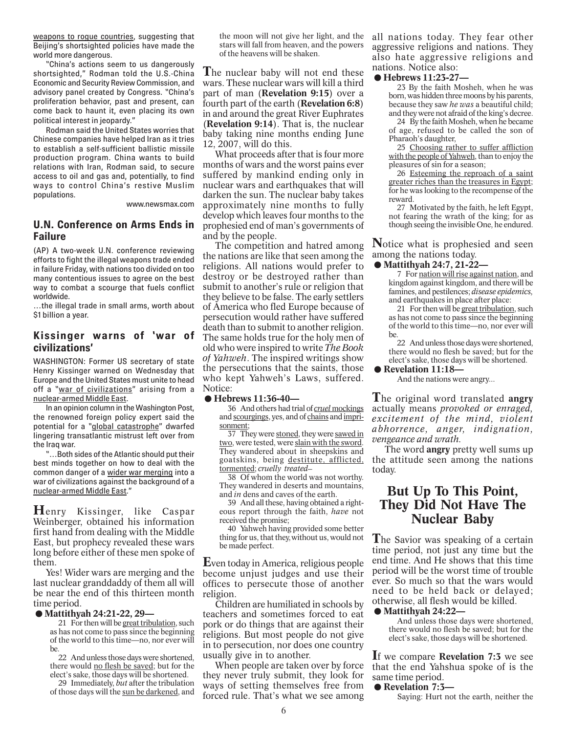weapons to rogue countries, suggesting that Beijing's shortsighted policies have made the world more dangerous.

"China's actions seem to us dangerously shortsighted," Rodman told the U.S.-China Economic and Security Review Commission, and advisory panel created by Congress. "China's proliferation behavior, past and present, can come back to haunt it, even placing its own political interest in jeopardy."

Rodman said the United States worries that Chinese companies have helped Iran as it tries to establish a self-sufficient ballistic missile production program. China wants to build relations with Iran, Rodman said, to secure access to oil and gas and, potentially, to find ways to control China's restive Muslim populations.

www.newsmax.com

### **U.N. Conference on Arms Ends in Failure**

(AP) A two-week U.N. conference reviewing efforts to fight the illegal weapons trade ended in failure Friday, with nations too divided on too many contentious issues to agree on the best way to combat a scourge that fuels conflict worldwide.

…the illegal trade in small arms, worth about \$1 billion a year.

### **Kissinger warns of 'war of civilizations'**

WASHINGTON: Former US secretary of state Henry Kissinger warned on Wednesday that Europe and the United States must unite to head off a "war of civilizations" arising from a nuclear-armed Middle East.

In an opinion column in the Washington Post, the renowned foreign policy expert said the potential for a "global catastrophe" dwarfed lingering transatlantic mistrust left over from the Iraq war.

"…Both sides of the Atlantic should put their best minds together on how to deal with the common danger of a wider war merging into a war of civilizations against the background of a nuclear-armed Middle East."

**H**enry Kissinger, like Caspar Weinberger, obtained his information first hand from dealing with the Middle East, but prophecy revealed these wars long before either of these men spoke of them.

Yes! Wider wars are merging and the last nuclear granddaddy of them all will **Example 3** and the end of this thirteen month<br>time period. ● **Mattithyah 24:21-22, 29—**<br>21. For then will be great tribulation, such time period.

21 For then will be great tribulation, such as has not come to pass since the beginning of the world to this time—no, nor ever will be.

22 And unless those days were shortened, there would no flesh be saved; but for the elect's sake, those days will be shortened.

29 Immediately, *but* after the tribulation of those days will the sun be darkened, and the moon will not give her light, and the stars will fall from heaven, and the powers of the heavens will be shaken.

**T**he nuclear baby will not end these wars. These nuclear wars will kill a third part of man (**Revelation 9:15**) over a fourth part of the earth (**Revelation 6:8**) in and around the great River Euphrates (**Revelation 9:14**). That is, the nuclear baby taking nine months ending June 12, 2007, will do this.

What proceeds after that is four more months of wars and the worst pains ever suffered by mankind ending only in nuclear wars and earthquakes that will darken the sun. The nuclear baby takes approximately nine months to fully develop which leaves four months to the prophesied end of man's governments of and by the people.

The competition and hatred among the nations are like that seen among the religions. All nations would prefer to destroy or be destroyed rather than submit to another's rule or religion that they believe to be false. The early settlers of America who fled Europe because of persecution would rather have suffered death than to submit to another religion. The same holds true for the holy men of old who were inspired to write *The Book of Yahweh*. The inspired writings show the persecutions that the saints, those Inc<sub>ream</sub> Persecutions that the sames, those<br>who kept Yahweh's Laws, suffered.<br>Notice:<br>● **Hebrews 11:36-40—**<br>36 And others had trial of *cruel* mockings Notice:

36 And others had trial of *cruel* mockings and scourgings, yes, and of chains and imprisonment;

37 They were stoned, they were sawed in two, were tested, were slain with the sword. They wandered about in sheepskins and goatskins, being destitute, afflicted, tormented; *cruelly treated***\_\_**

38 Of whom the world was not worthy. They wandered in deserts and mountains, and *in* dens and caves of the earth.

39 And all these, having obtained a righteous report through the faith, *have* not received the promise;

40 Yahweh having provided some better thing for us, that they,without us, would not be made perfect.

**E**ven today in America, religious people become unjust judges and use their offices to persecute those of another religion.

Children are humiliated in schools by teachers and sometimes forced to eat pork or do things that are against their religions. But most people do not give in to persecution, nor does one country usually give in to another.

When people are taken over by force they never truly submit, they look for ways of setting themselves free from forced rule. That's what we see among

all nations today. They fear other aggressive religions and nations. They dso hate aggressive religions and<br>also hate aggressive religions and<br>**.●Hebrews 11:23-27—**<br>23 By the faith Mosheh, when he was nations. Notice also:

23 By the faith Mosheh, when he was born, was hidden three moons by his parents, because they saw *he was* a beautiful child; and they were not afraid of the king's decree.

24 By the faith Mosheh, when he became of age, refused to be called the son of Pharaoh's daughter,

25 Choosing rather to suffer affliction with the people of Yahweh, than to enjoy the pleasures of sin for a season;

26 Esteeming the reproach of a saint greater riches than the treasures in Egypt; for he was looking to the recompense of the reward.

27 Motivated by the faith, he left Egypt, not fearing the wrath of the king; for as though seeing the invisible One, he endured.

**N**otice what is prophesied and seen among the nations today.

### **.Mattithyah 24:7, 21-22—**

7 For nation will rise against nation, and kingdom against kingdom, and there will be famines, and pestilences; *disease epidemics,* and earthquakes in place after place:

21 For then will be great tribulation, such as has not come to pass since the beginning of the world to this time—no, nor ever will be.

22 And unless those days were shortened, there would no flesh be saved; but for the elect's sake, those days will be shortened. 22 And unless those<br>there would no flesh l<br>elect's sake, those day.<br>● **Revelation 11:18**—<br>And the nations were

And the nations were angry...

**T**he original word translated **angry** actually means *provoked or enraged, excitement of the mind, violent abhorrence, anger, indignation, vengeance and wrath.*

The word **angry** pretty well sums up the attitude seen among the nations today.

### **But Up To This Point, They Did Not Have The Nuclear Baby**

**T**he Savior was speaking of a certain time period, not just any time but the end time. And He shows that this time period will be the worst time of trouble ever. So much so that the wars would need to be held back or delayed; otherwise, all flesh would be killed. **EVET:** 50 matri so that<br>meed to be held bad<br>otherwise, all flesh wore<br>
■ And unless those day

And unless those days were shortened, there would no flesh be saved; but for the elect's sake, those days will be shortened.

**I**f we compare **Revelation 7:3** we see **The We compare Revelation 7:5** we see<br>that the end Yahshua spoke of is the<br>same time period. ● **Revelation 7:3—**<br>Saving: Hurt not the earth neither the same time period.

Saying: Hurt not the earth, neither the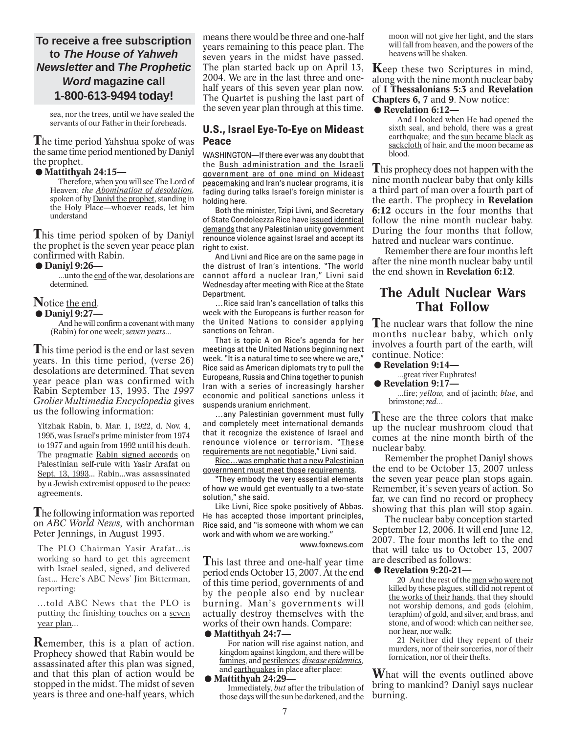### **To receive a free subscription to** *The House of Yahweh Newsletter* **and** *The Prophetic Word* **magazine call 1-800-613-9494 today!**

sea, nor the trees, until we have sealed the servants of our Father in their foreheads.

**T**he time period Yahshua spoke of was **The time period natistial spoke of was**<br>the same time period mentioned by Daniyl<br>the prophet. ● **Mattithyah 24:15—**<br>Therefore when you will see The Lord of the prophet.

Therefore, when you will see The Lord of Heaven; *the Abomination of desolation,* spoken of by Daniyl the prophet, standing in the Holy Place—whoever reads, let him understand

**T**his time period spoken of by Daniyl the prophet is the seven year peace plan **.Daniyl 9:26** confirmed with Rabin.

...unto the end of the war, desolations are determined.

### **N**otice the end. **a**<br> **Notice <u>the end</u>.<br>
● Daniyl 9:27—<br>
And be will co**

And he will confirm a covenant with many (Rabin) for one week; *seven years...*

**T**his time period is the end or last seven years. In this time period, (verse 26) desolations are determined. That seven year peace plan was confirmed with Rabin September 13, 1993. The *1997 Grolier Multimedia Encyclopedia* gives us the following information:

Yitzhak Rabin, b. Mar. 1, 1922, d. Nov. 4, 1995, was Israel's prime minister from 1974 to 1977 and again from 1992 until his death. The pragmatic Rabin signed accords on Palestinian self-rule with Yasir Arafat on Sept. 13, 1993... Rabin...was assassinated by a Jewish extremist opposed to the peace agreements.

### **T**he following information was reported on *ABC World News,* with anchorman Peter Jennings, in August 1993.

The PLO Chairman Yasir Arafat...is working so hard to get this agreement with Israel sealed, signed, and delivered fast... Here's ABC News' Jim Bitterman, reporting:

...told ABC News that the PLO is putting the finishing touches on a seven year plan...

**R**emember, this is a plan of action. Prophecy showed that Rabin would be assassinated after this plan was signed, and that this plan of action would be stopped in the midst. The midst of seven years is three and one-half years, which means there would be three and one-half years remaining to this peace plan. The seven years in the midst have passed. The plan started back up on April 13, 2004. We are in the last three and onehalf years of this seven year plan now. The Quartet is pushing the last part of the seven year plan through at this time.

### **U.S., Israel Eye-To-Eye on Mideast Peace**

WASHINGTON—If there ever was any doubt that the Bush administration and the Israeli government are of one mind on Mideast peacemaking and Iran's nuclear programs, it is fading during talks Israel's foreign minister is holding here.

Both the minister, Tzipi Livni, and Secretary of State Condoleezza Rice have issued identical demands that any Palestinian unity government renounce violence against Israel and accept its right to exist.

And Livni and Rice are on the same page in the distrust of Iran's intentions. "The world cannot afford a nuclear Iran," Livni said Wednesday after meeting with Rice at the State Department.

…Rice said Iran's cancellation of talks this week with the Europeans is further reason for the United Nations to consider applying sanctions on Tehran.

That is topic A on Rice's agenda for her meetings at the United Nations beginning next week. "It is a natural time to see where we are," Rice said as American diplomats try to pull the Europeans, Russia and China together to punish Iran with a series of increasingly harsher economic and political sanctions unless it suspends uranium enrichment.

…any Palestinian government must fully and completely meet international demands that it recognize the existence of Israel and renounce violence or terrorism. "These requirements are not negotiable," Livni said.

Rice…was emphatic that a new Palestinian government must meet those requirements.

"They embody the very essential elements of how we would get eventually to a two-state solution," she said.

Like Livni, Rice spoke positively of Abbas. He has accepted those important principles, Rice said, and "is someone with whom we can work and with whom we are working."

www.foxnews.com

**T**his last three and one-half year time period ends October 13, 2007. At the end of this time period, governments of and by the people also end by nuclear burning. Man's governments will **EXECUTE 18 SECUTE 18 SECUTE 18 SECUTE 18 SECUTE 18 and added**<br> **actually destroy themselves with the**<br> **works of their own hands. Compare:**<br>
■ **8024:7—**<br>
■ **EXECUTE 1824:7—**<br>
■ **EXECUTE 1824:10** works of their own hands. Compare:

For nation will rise against nation, and kingdom against kingdom, and there will be famines, and pestilences; *disease epidemics,* and earthquakes in place after place:

### **.Mattithyah 24:29—**

Immediately, *but* after the tribulation of those days will the sun be darkened, and the

moon will not give her light, and the stars will fall from heaven, and the powers of the heavens will be shaken.

**Keep** these two Scriptures in mind, along with the nine month nuclear baby of **I Thessalonians 5:3** and **Revelation**<br> **Chapters 6, 7** and 9. Now notice:<br>
● Revelation 6:12—<br>
And I looked when He had opened the **Chapters 6, 7** and **9**. Now notice:

And I looked when He had opened the sixth seal, and behold, there was a great earthquake; and the sun became black as sackcloth of hair, and the moon became as blood.

**T**his prophecy does not happen with the nine month nuclear baby that only kills a third part of man over a fourth part of the earth. The prophecy in **Revelation 6:12** occurs in the four months that follow the nine month nuclear baby. During the four months that follow, hatred and nuclear wars continue.

Remember there are four months left after the nine month nuclear baby until the end shown in **Revelation 6:12**.

### **The Adult Nuclear Wars That Follow**

**T**he nuclear wars that follow the nine months nuclear baby, which only months interear baby, which only<br>involves a fourth part of the earth, will<br>continue. Notice:<br>● **Revelation 9:14**—<br>oreat river Euphrates! continue. Notice:

### ...great river Euphrates!

...fire; *yellow,* and of jacinth; *blue,* and brimstone; *red..*.

**T**hese are the three colors that make up the nuclear mushroom cloud that comes at the nine month birth of the nuclear baby.

Remember the prophet Daniyl shows the end to be October 13, 2007 unless the seven year peace plan stops again. Remember, it's seven years of action. So far, we can find no record or prophecy showing that this plan will stop again.

The nuclear baby conception started September 12, 2006. It will end June 12, 2007. The four months left to the end 2007. The four months left to the end<br>that will take us to October 13, 2007<br>are described as follows:<br>● **Revelation 9:20-21—**<br>20. And the rest of the men who were not are described as follows:<br>● Revelation 9:20-21—

20 And the rest of the men who were not killed by these plagues, still did not repent of the works of their hands, that they should not worship demons, and gods (elohim, teraphim) of gold, and silver, and brass, and stone, and of wood: which can neither see, nor hear, nor walk;

21 Neither did they repent of their murders, nor of their sorceries, nor of their fornication, nor of their thefts.

**W**hat will the events outlined above bring to mankind? Daniyl says nuclear burning.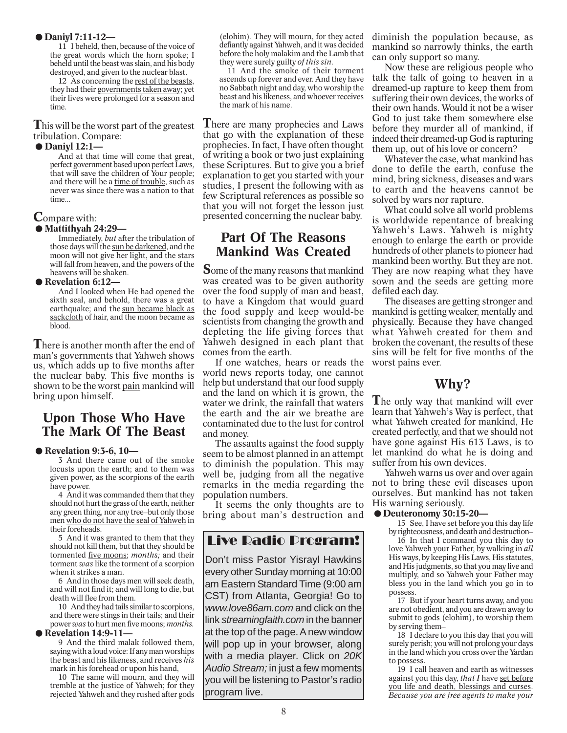### **.Daniyl 7:11-12—**

11 I beheld, then, because of the voice of the great words which the horn spoke; I beheld until the beast was slain, and his body destroyed, and given to the nuclear blast.

12 As concerning the rest of the beasts, they had their governments taken away; yet their lives were prolonged for a season and time.

**T**his will be the worst part of the greatest<br>tribulation. Compare:<br>● **Daniyl 12:1—**<br>And at that time will come that great tribulation. Compare:

And at that time will come that great, perfect government based upon perfect Laws, that will save the children of Your people; and there will be a time of trouble, such as never was since there was a nation to that time...

### **C**ompare with:

### **.Mattithyah 24:29—**

Immediately, *but* after the tribulation of those days will the sun be darkened, and the moon will not give her light, and the stars will fall from heaven, and the powers of the heavens will be shaken. **.Revelation 6:12—**

And I looked when He had opened the sixth seal, and behold, there was a great earthquake; and the sun became black as sackcloth of hair, and the moon became as blood.

**T**here is another month after the end of man's governments that Yahweh shows us, which adds up to five months after the nuclear baby. This five months is shown to be the worst pain mankind will bring upon himself.

# **Upon Those Who Have The Mark Of The Beast**<br> **• Revelation 9:3-6, 10—**<br> **8. And there came out of the smo**

3 And there came out of the smoke locusts upon the earth; and to them was given power, as the scorpions of the earth have power.

4 And it was commanded them that they should not hurt the grass of the earth, neither any green thing, nor any tree-but only those men who do not have the seal of Yahweh in their foreheads.

5 And it was granted to them that they should not kill them, but that they should be tormented five moons; *months;* and their torment *was* like the torment of a scorpion when it strikes a man.

6 And in those days men will seek death, and will not find it; and will long to die, but death will flee from them.

10 And they had tails similar to scorpions, and there were stings in their tails; and their power *was* to hurt men five moons; *months.* 10 And they had tails s<br>and there were stings in t<br>power *was* to hurt men fit<br>**•• Revelation 14:9-11—**<br>9 And the third mals

9 And the third malak followed them, saying with a loud voice: If any man worships the beast and his likeness, and receives *his* mark in his forehead or upon his hand,

10 The same will mourn, and they will tremble at the justice of Yahweh; for they rejected Yahweh and they rushed after gods

(elohim). They will mourn, for they acted defiantly against Yahweh, and it was decided before the holy malakim and the Lamb that they were surely guilty *of this sin.*

11 And the smoke of their torment ascends up forever and ever. And they have no Sabbath night and day, who worship the beast and his likeness, and whoever receives the mark of his name.

**There are many prophecies and Laws** that go with the explanation of these prophecies. In fact, I have often thought of writing a book or two just explaining these Scriptures. But to give you a brief explanation to get you started with your studies, I present the following with as few Scriptural references as possible so that you will not forget the lesson just presented concerning the nuclear baby.

### **Part Of The Reasons Mankind Was Created**

**S**ome of the many reasons that mankind was created was to be given authority over the food supply of man and beast, to have a Kingdom that would guard the food supply and keep would-be scientists from changing the growth and depleting the life giving forces that Yahweh designed in each plant that comes from the earth.

If one watches, hears or reads the world news reports today, one cannot help but understand that our food supply and the land on which it is grown, the water we drink, the rainfall that waters the earth and the air we breathe are contaminated due to the lust for control and money.

The assaults against the food supply seem to be almost planned in an attempt to diminish the population. This may well be, judging from all the negative remarks in the media regarding the population numbers.

It seems the only thoughts are to bring about man's destruction and

### Live Radio Program!

Don't miss Pastor Yisrayl Hawkins every other Sunday morning at 10:00 am Eastern Standard Time (9:00 am CST) from Atlanta, Georgia! Go to *www.love86am.com* and click on the link *streamingfaith.com* in the banner at the top of the page. A new window will pop up in your browser, along with a media player. Click on *20K Audio Stream;* in just a few moments you will be listening to Pastor's radio program live.

diminish the population because, as mankind so narrowly thinks, the earth can only support so many.

Now these are religious people who talk the talk of going to heaven in a dreamed-up rapture to keep them from suffering their own devices, the works of their own hands. Would it not be a wiser God to just take them somewhere else before they murder all of mankind, if indeed their dreamed-up God is rapturing them up, out of his love or concern?

Whatever the case, what mankind has done to defile the earth, confuse the mind, bring sickness, diseases and wars to earth and the heavens cannot be solved by wars nor rapture.

What could solve all world problems is worldwide repentance of breaking Yahweh's Laws. Yahweh is mighty enough to enlarge the earth or provide hundreds of other planets to pioneer had mankind been worthy. But they are not. They are now reaping what they have sown and the seeds are getting more defiled each day.

The diseases are getting stronger and mankind is getting weaker, mentally and physically. Because they have changed what Yahweh created for them and broken the covenant, the results of these sins will be felt for five months of the worst pains ever.

### **Why?**

**T**he only way that mankind will ever learn that Yahweh's Way is perfect, that what Yahweh created for mankind, He created perfectly, and that we should not have gone against His 613 Laws, is to let mankind do what he is doing and suffer from his own devices.

Yahweh warns us over and over again not to bring these evil diseases upon ourselves. But mankind has not taken His warning seriously.

### **.Deuteronomy 30:15-20—**

15 See, I have set before you this day life by righteousness, and death and destruction\_\_

16 In that I command you this day to love Yahweh your Father, by walking in *all* His ways, by keeping His Laws, His statutes, and His judgments, so that you may live and multiply, and so Yahweh your Father may bless you in the land which you go in to possess.

17 But if your heart turns away, and you are not obedient, and you are drawn away to submit to gods (elohim), to worship them by serving them\_\_

18 I declare to you this day that you will surely perish; you will not prolong your days in the land which you cross over the Yardan to possess.

19 I call heaven and earth as witnesses against you this day, *that I* have set before you life and death, blessings and curses. *Because you are free agents to make your*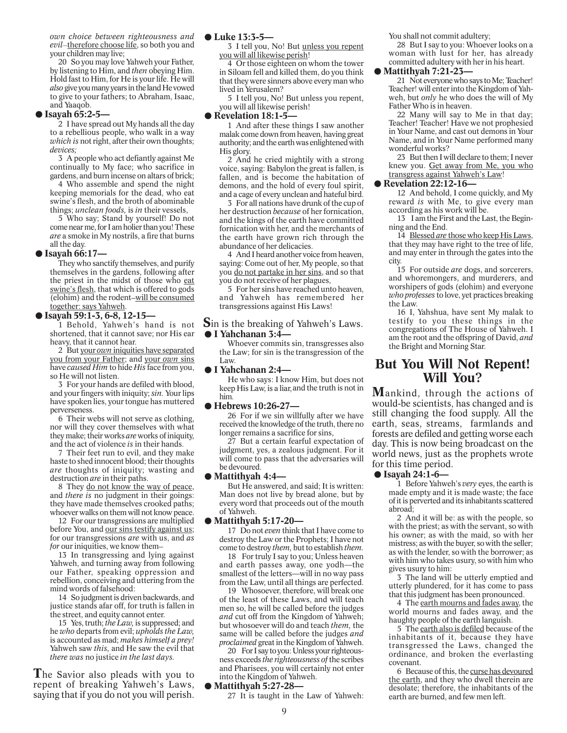*own choice between righteousness and evil\_\_*therefore choose life, so both you and your children may live;

20 So you may love Yahweh your Father, by listening to Him, and *then* obeying Him. Hold fast to Him, for He is your life. He will *also* give you many years in the land He vowed to give to your fathers; to Abraham, Isaac, and Yaaqob.

### **.Isayah 65:2-5—**

2 I have spread out My hands all the day to a rebellious people, who walk in a way *which is* not right, after their own thoughts; *devices;*

3 A people who act defiantly against Me continually to My face; who sacrifice in gardens, and burn incense on altars of brick;

4 Who assemble and spend the night keeping memorials for the dead, who eat swine's flesh, and the broth of abominable things; *unclean foods,* is *in* their vessels,

5 Who say; Stand by yourself! Do not come near me, for I am holier than you! These *are* a smoke in My nostrils, a fire that burns all the day.

### **.Isayah 66:17—**

They who sanctify themselves, and purify themselves in the gardens, following after the priest in the midst of those who eat swine's flesh, that which is offered to gods (elohim) and the rodent**\_\_**will be consumed together: says Yahweh.

### **.Isayah 59:1-3, 6-8, 12-15—**

1 Behold, Yahweh's hand is not shortened, that it cannot save; nor His ear heavy, that it cannot hear.

2 But your *own* iniquities have separated you from your Father; and your *own* sins have *caused Him* to hide *His* face from you, so He will not listen.

3 For your hands are defiled with blood, and your fingers with iniquity; *sin.* Your lips have spoken lies, your tongue has muttered perverseness.

6 Their webs will not serve as clothing, nor will they cover themselves with what they make; their works *are* works of iniquity, and the act of violence *is* in their hands.

7 Their feet run to evil, and they make haste to shed innocent blood; their thoughts *are* thoughts of iniquity; wasting and destruction *are* in their paths.

8 They do not know the way of peace, and *there is* no judgment in their goings: they have made themselves crooked paths; whoever walks on them will not know peace.

12 For our transgressions are multiplied before You, and our sins testify against us; for our transgressions *are* with us, and *as for* our iniquities, we know them**\_\_**

13 In transgressing and lying against Yahweh, and turning away from following our Father, speaking oppression and rebellion, conceiving and uttering from the mind words of falsehood:

14 So judgment is driven backwards, and justice stands afar off, for truth is fallen in the street, and equity cannot enter.

15 Yes, truth; *the Law,* is suppressed; and he *who* departs from evil; *upholds the Law,* is accounted as mad; *makes himself a prey!* Yahweh saw *this,* and He saw the evil that *there was* no justice *in the last days.*

**T**he Savior also pleads with you to repent of breaking Yahweh's Laws, saying that if you do not you will perish.

### **.Luke 13:3-5—**

3 I tell you, No! But unless you repent you will all likewise perish!

4 Or those eighteen on whom the tower in Siloam fell and killed them, do you think that they were sinners above every man who lived in Yerusalem?

5 I tell you, No! But unless you repent, you will all likewise perish! lived in Yerusalem?<br>5 I tell you, No! Buy<br>you will all likewise per<br>**• Revelation 18:1-5—**<br>1 And after these the

1 And after these things I saw another malak come down from heaven, having great authority; and the earth was enlightened with His glory.

2 And he cried mightily with a strong voice, saying: Babylon the great is fallen, is fallen, and is become the habitation of demons, and the hold of every foul spirit, and a cage of every unclean and hateful bird.

3 For all nations have drunk of the cup of her destruction *because* of her fornication, and the kings of the earth have committed fornication with her, and the merchants of the earth have grown rich through the abundance of her delicacies.

4 And I heard another voice from heaven, saying: Come out of her, My people, so that you <u>do not partake in her sins</u>, and so that you do not receive of her plagues,

5 For her sins have reached unto heaven, and Yahweh has remembered her transgressions against His Laws!

**S**in is the breaking of Yahweh's Laws. transgressions agains<br> **S**in is the breaking o<br>● I Yahchanan 3:4—<br>
Whoever commits

Whoever commits sin, transgresses also the Law; for sin is the transgression of the Law.

### **.I Yahchanan 2:4—**

He who says: I know Him, but does not keep His Law, is a liar,and the truth is not in him.

### **.Hebrews 10:26-27—**

26 For if we sin willfully after we have received the knowledge of the truth, there no longer remains a sacrifice for sins,

27 But a certain fearful expectation of judgment, yes, a zealous judgment. For it will come to pass that the adversaries will be devoured. iudgment, yes, a ze<br>
will come to pass the<br>
be devoured.<br>
■ **Nut He answered** 

But He answered, and said; It is written: Man does not live by bread alone, but by every word that proceeds out of the mouth of Yahweh.

### **.Mattithyah 5:17-20—**

17 Do not *even* think that I have come to destroy the Law or the Prophets; I have not come to destroy *them,* but to establish *them.*

18 For truly I say to you; Unless heaven and earth passes away, one yodh—the smallest of the letters—will in no way pass from the Law, until all things are perfected.

19 Whosoever, therefore, will break one of the least of these Laws, and will teach men so, he will be called before the judges *and* cut off from the Kingdom of Yahweh; but whosoever will do and teach *them,* the same will be called before the judges *and proclaimed* great in the Kingdom of Yahweh.

20 For I say to you: Unless your righteousness exceeds *the righteousness of* the scribes and Pharisees, you will certainly not enter into the Kingdom of Yahweh.

### **.Mattithyah 5:27-28—**

27 It is taught in the Law of Yahweh:

You shall not commit adultery;

28 But I say to you: Whoever looks on a woman with lust for her, has already committed adultery with her in his heart.

### ● Mattithyah 7:21-23–

21 Not everyone who says to Me; Teacher! Teacher! will enter into the Kingdom of Yahweh, but *only* he who does the will of My Father Who is in heaven.

22 Many will say to Me in that day; Teacher! Teacher! Have we not prophesied in Your Name, and cast out demons in Your Name, and in Your Name performed many wonderful works?

23 But then I will declare to them; I never knew you. Get away from Me, you who transgress against Yahweh's Law!

### **.Revelation 22:12-16—**

12 And behold, I come quickly, and My reward *is* with Me, to give every man according as his work will be.

13 I am the First and the Last, the Beginning and the End.

14 Blessed *are* those who keep His Laws, that they may have right to the tree of life, and may enter in through the gates into the city.

15 For outside *are* dogs, and sorcerers, and whoremongers, and murderers, and worshipers of gods (elohim) and everyone *who professes* to love, yet practices breaking the Law.

16 I, Yahshua, have sent My malak to testify to you these things in the congregations of The House of Yahweh. I am the root and the offspring of David, *and* the Bright and Morning Star.

### **But You Will Not Repent! Will You?**

**M**ankind, through the actions of would-be scientists, has changed and is still changing the food supply. All the earth, seas, streams, farmlands and forests are defiled and getting worse each day. This is now being broadcast on the **Example 19 Solid New School Conservant Conservant Conservant Conservant Conservant Conservation Conservation Conservation Conservation Conservation Conservation Conservation Conservation Conservation Conservation Conserv** for this time period.

1 Before Yahweh's *very* eyes, the earth is made empty and it is made waste; the face of it is perverted and its inhabitants scattered abroad;

2 And it will be: as with the people, so with the priest; as with the servant, so with his owner; as with the maid, so with her mistress; as with the buyer, so with the seller; as with the lender, so with the borrower; as with him who takes usury, so with him who gives usury to him:

3 The land will be utterly emptied and utterly plundered, for it has come to pass that this judgment has been pronounced.

4 The earth mourns and fades away, the world mourns and fades away, and the haughty people of the earth languish.

5 The earth also is defiled because of the inhabitants of it, because they have transgressed the Laws, changed the ordinance, and broken the everlasting covenant.

6 Because of this, the curse has devoured the earth, and they who dwell therein are desolate; therefore, the inhabitants of the earth are burned, and few men left.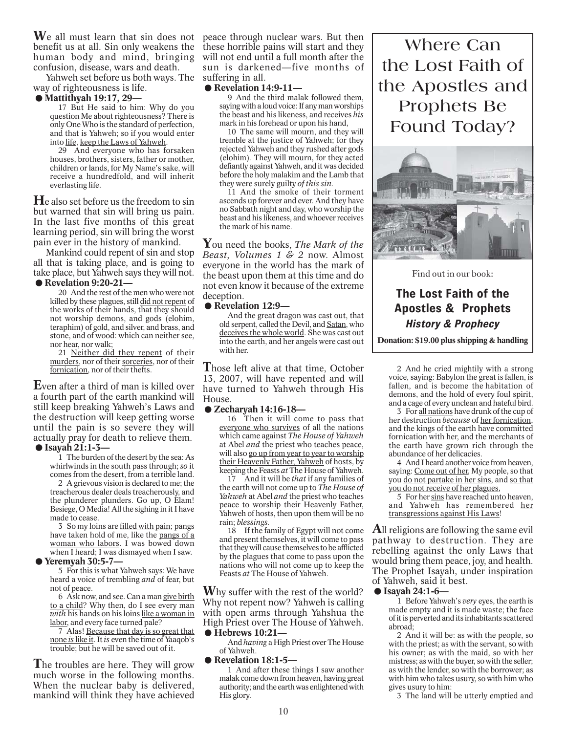**W**e all must learn that sin does not peace through nuclear wars. But then benefit us at all. Sin only weakens the human body and mind, bringing confusion, disease, wars and death.

Yahweh set before us both ways. The way of righteousness is life.

### **.Mattithyah 19:17, 29—**

17 But He said to him: Why do you question Me about righteousness? There is only One Who is the standard of perfection, and that is Yahweh; so if you would enter into life, keep the Laws of Yahweh.

29 And everyone who has forsaken houses, brothers, sisters, father or mother, children or lands, for My Name's sake, will receive a hundredfold, and will inherit everlasting life.

**H**e also set before us the freedom to sin but warned that sin will bring us pain. In the last five months of this great learning period, sin will bring the worst pain ever in the history of mankind.

Mankind could repent of sin and stop Franking could feel to 5 sm and stop<br>all that is taking place, and is going to<br>take place, but Yahweh says they will not.<br>■<br>**.Revelation 9:20-21—**<br>20. And the rest of the men who were not take place, but Yahweh says they will not.

20 And the rest of the men who were not killed by these plagues, still did not repent of the works of their hands, that they should not worship demons, and gods (elohim,

teraphim) of gold, and silver, and brass, and stone, and of wood: which can neither see, nor hear, nor walk; 21 Neither did they repent of their

murders, nor of their sorceries, nor of their fornication, nor of their thefts.

**E**ven after a third of man is killed over a fourth part of the earth mankind will still keep breaking Yahweh's Laws and the destruction will keep getting worse until the pain is so severe they will actually pray for death to relieve them. **Exercise 15 and 15 actually pray for de**<br>
■<br>
■ **I Sayah 21:1-3** 

1 The burden of the desert by the sea: As whirlwinds in the south pass through; *so* it comes from the desert, from a terrible land.

2 A grievous vision is declared to me; the treacherous dealer deals treacherously, and the plunderer plunders. Go up, O Elam! Besiege, O Media! All the sighing in it I have made to cease.

3 So my loins are filled with pain; pangs have taken hold of me, like the pangs of a woman who labors. I was bowed down when I heard; I was dismayed when I saw. have taken hold of m<br>
<u>woman who labors</u>.<br>
when I heard; I was d<br> **Comparison 30:5-7—**<br>
5 For this is what N

5 For this is what Yahweh says: We have heard a voice of trembling *and* of fear, but not of peace.

6 Ask now, and see. Can a man give birth to a child? Why then, do I see every man *with* his hands on his loins like a woman in labor, and every face turned pale?

7 Alas! Because that day is so great that none *is* like it. It *is* even the time of Yaaqob's trouble; but he will be saved out of it.

**T**he troubles are here. They will grow much worse in the following months. When the nuclear baby is delivered, mankind will think they have achieved

these horrible pains will start and they will not end until a full month after the win not end until a fun month arter the<br>
sun is darkened—five months of<br>
suffering in all.<br>
● Revelation 14:9-11—<br>
→ And the third malak followed them suffering in all.

9 And the third malak followed them, saying with a loud voice: If any man worships the beast and his likeness, and receives *his* mark in his forehead or upon his hand,

10 The same will mourn, and they will tremble at the justice of Yahweh; for they rejected Yahweh and they rushed after gods (elohim). They will mourn, for they acted defiantly against Yahweh, and it was decided before the holy malakim and the Lamb that they were surely guilty *of this sin.*

11 And the smoke of their torment ascends up forever and ever. And they have no Sabbath night and day, who worship the beast and his likeness, and whoever receives the mark of his name.

**Y**ou need the books, *The Mark of the Beast, Volumes 1 & 2* now. Almost everyone in the world has the mark of the beast upon them at this time and do Increase upon them at this time and do<br>not even know it because of the extreme<br>deception. ●<br>**Revelation 12:9**—<br>And the great dragon was cast out, that deception.

And the great dragon was cast out, that old serpent, called the Devil, and Satan, who deceives the whole world. She was cast out into the earth, and her angels were cast out with her.

**T**hose left alive at that time, October 13, 2007, will have repented and will 15, 2007, will have repented and will<br>have turned to Yahweh through His<br>House. ● Zecharyah 14:16-18—<br>16. Then it will come to pass that House.

16 Then it will come to pass that everyone who survives of all the nations which came against *The House of Yahweh* at Abel *and* the priest who teaches peace, will also go up from year to year to worship their Heavenly Father, Yahweh of hosts, by keeping the Feasts *at* The House of Yahweh.

17 And it will be *that* if any families of the earth will not come up to *The House of Yahweh* at Abel *and* the priest who teaches peace to worship their Heavenly Father, Yahweh of hosts, then upon them will be no rain; *blessings.*

18 If the family of Egypt will not come and present themselves, it will come to pass that they will cause themselves to be afflicted by the plagues that come to pass upon the nations who will not come up to keep the Feasts *at* The House of Yahweh.

**W**hy suffer with the rest of the world? Why not repent now? Yahweh is calling with open arms through Yahshua the<br>High Priest over The House of Yahweh.<br> **• Hebrews 10:21—**<br>
And having a High Priest over The House High Priest over The House of Yahweh.

And *having* a High Priest over The House of Yahweh. • **Hebrews 10:21—**<br>And *having* a High l<br>of Yahweh.<br>• **Revelation 18:1-5—** 

1 And after these things I saw another malak come down from heaven, having great authority; and the earth was enlightened with His glory.

**Where Can the Lost Faith of the Apostles and Prophets Be Found Today?**



Find out in our book:

### **The Lost Faith of the Apostles & Prophets** *History & Prophecy*

**Donation: \$19.00 plus shipping & handling**

2 And he cried mightily with a strong voice, saying: Babylon the great is fallen, is fallen, and is become the habitation of demons, and the hold of every foul spirit, and a cage of every unclean and hateful bird.

3 For all nations have drunk of the cup of her destruction *because* of her fornication, and the kings of the earth have committed fornication with her, and the merchants of the earth have grown rich through the abundance of her delicacies.

4 And I heard another voice from heaven, saying: Come out of her, My people, so that you <u>do not partake in her sins</u>, and <u>so that</u> you do not receive of her plagues,

5 For her sins have reached unto heaven, and Yahweh has remembered her transgressions against His Laws!

**A**ll religions are following the same evil pathway to destruction. They are rebelling against the only Laws that would bring them peace, joy, and health. Would bring them peace, joy, and health.<br>The Prophet Isayah, under inspiration<br>of Yahweh, said it best.<br>■ **I** Reform Yahweh's very even the earth is of Yahweh, said it best.

1 Before Yahweh's *very* eyes, the earth is made empty and it is made waste; the face of it is perverted and its inhabitants scattered abroad;

2 And it will be: as with the people, so with the priest; as with the servant, so with his owner; as with the maid, so with her mistress; as with the buyer, so with the seller; as with the lender, so with the borrower; as with him who takes usury, so with him who gives usury to him:

3 The land will be utterly emptied and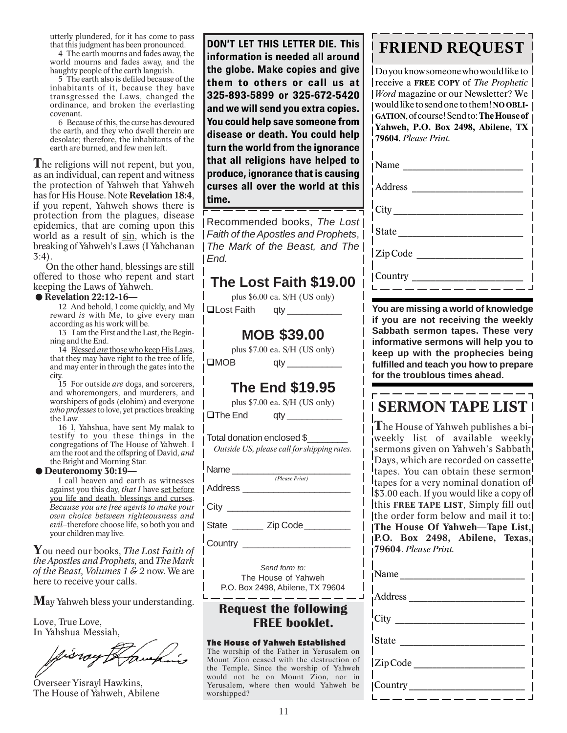utterly plundered, for it has come to pass that this judgment has been pronounced.

4 The earth mourns and fades away, the world mourns and fades away, and the haughty people of the earth languish.

5 The earth also is defiled because of the inhabitants of it, because they have transgressed the Laws, changed the ordinance, and broken the everlasting covenant.

6 Because of this, the curse has devoured the earth, and they who dwell therein are desolate; therefore, the inhabitants of the earth are burned, and few men left.

**T**he religions will not repent, but you, as an individual, can repent and witness the protection of Yahweh that Yahweh has for His House. Note **Revelation 18:4**, if you repent, Yahweh shows there is protection from the plagues, disease epidemics, that are coming upon this world as a result of sin, which is the breaking of Yahweh's Laws (I Yahchanan 3:4).

On the other hand, blessings are still offered to those who repent and start<br> **Example 18 Servelation 22:12-16—**<br>
12 And behold I come quickly and My keeping the Laws of Yahweh.<br>● Revelation 22:12-16—

12 And behold, I come quickly, and My reward *is* with Me, to give every man according as his work will be.

13 I am the First and the Last, the Beginning and the End.

14 Blessed *are* those who keep His Laws, that they may have right to the tree of life, and may enter in through the gates into the city.

15 For outside *are* dogs, and sorcerers, and whoremongers, and murderers, and worshipers of gods (elohim) and everyone *who professes* to love, yet practices breaking the Law.

16 I, Yahshua, have sent My malak to testify to you these things in the congregations of The House of Yahweh. I am the root and the offspring of David, *and* the Bright and Morning Star. congregations of The Ho<br>am the root and the offspr<br>the Bright and Morning S<br>**.Deuteronomy 30:19—**<br>I call heaven and ear

I call heaven and earth as witnesses against you this day, *that I* have set before you life and death, blessings and curses. *Because you are free agents to make your own choice between righteousness and* evil-therefore choose life, so both you and your children may live.

**Y**ou need our books, *The Lost Faith of the Apostles and Prophets,* and *The Mark of the Beast, Volumes 1 & 2* now. We are here to receive your calls.

**M**ay Yahweh bless your understanding.

Love, True Love, In Yahshua Messiah,

fisray

Overseer Yisrayl Hawkins, The House of Yahweh, Abilene

**DON'T LET THIS LETTER DIE. This information is needed all around the globe. Make copies and give them to others or call us at 325-893-5899 or 325-672-5420 and we will send you extra copies. You could help save someone from disease or death. You could help turn the world from the ignorance that all religions have helped to produce, ignorance that is causing curses all over the world at this time.**

Recommended books, *The Lost Faith of the Apostles and Prophets*, *The Mark of the Beast, and The End.*

### **The Lost Faith \$19.00**

plus \$6.00 ea. S/H (US only)

qLost Faith qty \_\_\_\_\_\_\_\_\_\_\_

### **MOB \$39.00**

plus \$7.00 ea. S/H (US only)  $\Box$ MOB qty

### **The End \$19.95**

plus \$7.00 ea. S/H (US only)

qThe End qty \_\_\_\_\_\_\_\_\_\_\_

Total donation enclosed \$\_\_\_\_\_\_\_\_ *Outside US, please call for shipping rates.*

*(Please Print)*

Name

Address \_

City \_\_\_\_\_\_\_\_\_\_\_\_\_\_\_\_\_\_\_\_\_\_\_\_

State  $\qquad \qquad$  Zip Code

Country \_\_\_\_

*Send form to:* The House of Yahweh P.O. Box 2498, Abilene, TX 79604

### **Request the following FREE booklet.**

 $\frac{1}{2}$  and  $\frac{1}{2}$  and  $\frac{1}{2}$  and  $\frac{1}{2}$  and  $\frac{1}{2}$ 

### The House of Yahweh Established

The worship of the Father in Yerusalem on Mount Zion ceased with the destruction of the Temple. Since the worship of Yahweh would not be on Mount Zion, nor in Yerusalem, where then would Yahweh be worshipped?

### **FRIEND REQUEST**

Do you know someone who would like to receive a **FREE COPY** of *The Prophetic Word* magazine or our Newsletter? We would like to send one to them! **NOOBLI-GATION**, of course! Send to: **The House of Yahweh, P.O. Box 2498, Abilene, TX 79604**. *Please Print.*

| $\vert$ State |
|---------------|
| Zip Code      |
| Country ____  |

**You are missing a world of knowledge if you are not receiving the weekly Sabbath sermon tapes. These very informative sermons will help you to keep up with the prophecies being fulfilled and teach you how to prepare for the troublous times ahead.**

### **SERMON TAPE LIST**

**T**he House of Yahweh publishes a biweekly list of available weekly sermons given on Yahweh's Sabbath Days, which are recorded on cassette tapes. You can obtain these sermon! tapes for a very nominal donation of  $\frac{1}{3}$ .00 each. If you would like a copy of this **FREE TAPE LIST**, Simply fill out the order form below and mail it to: **The House Of Yahweh**—**Tape List, P.O. Box 2498, Abilene, Texas, 79604**. *Please Print.*

| Name                         |
|------------------------------|
| Address_                     |
| $\text{City}$ <sub>___</sub> |
| $I_{State}$                  |
| Zip Code                     |
| Country                      |